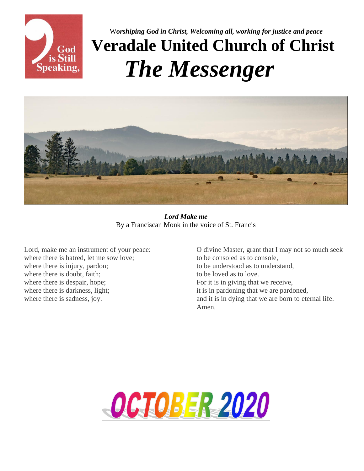

<sup>W</sup>*orshiping God in Christ, Welcoming all, working for justice and peace* **Veradale United Church of Christ**  *The Messenger*



*Lord Make me* By a Franciscan Monk in the voice of St. Francis

Lord, make me an instrument of your peace: where there is hatred, let me sow love; where there is injury, pardon; where there is doubt, faith; where there is despair, hope; where there is darkness, light; where there is sadness, joy.

O divine Master, grant that I may not so much seek to be consoled as to console, to be understood as to understand, to be loved as to love. For it is in giving that we receive, it is in pardoning that we are pardoned, and it is in dying that we are born to eternal life. Amen.

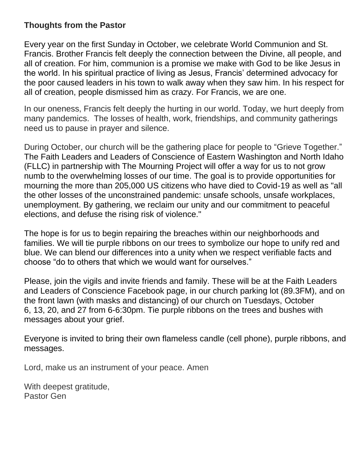### **Thoughts from the Pastor**

Every year on the first Sunday in October, we celebrate World Communion and St. Francis. Brother Francis felt deeply the connection between the Divine, all people, and all of creation. For him, communion is a promise we make with God to be like Jesus in the world. In his spiritual practice of living as Jesus, Francis' determined advocacy for the poor caused leaders in his town to walk away when they saw him. In his respect for all of creation, people dismissed him as crazy. For Francis, we are one.

In our oneness, Francis felt deeply the hurting in our world. Today, we hurt deeply from many pandemics. The losses of health, work, friendships, and community gatherings need us to pause in prayer and silence.

During October, our church will be the gathering place for people to "Grieve Together." The Faith Leaders and Leaders of Conscience of Eastern Washington and North Idaho (FLLC) in partnership with The Mourning Project will offer a way for us to not grow numb to the overwhelming losses of our time. The goal is to provide opportunities for mourning the more than 205,000 US citizens who have died to Covid-19 as well as "all the other losses of the unconstrained pandemic: unsafe schools, unsafe workplaces, unemployment. By gathering, we reclaim our unity and our commitment to peaceful elections, and defuse the rising risk of violence."

The hope is for us to begin repairing the breaches within our neighborhoods and families. We will tie purple ribbons on our trees to symbolize our hope to unify red and blue. We can blend our differences into a unity when we respect verifiable facts and choose "do to others that which we would want for ourselves."

Please, join the vigils and invite friends and family. These will be at the Faith Leaders and Leaders of Conscience Facebook page, in our church parking lot (89.3FM), and on the front lawn (with masks and distancing) of our church on Tuesdays, October 6, 13, 20, and 27 from 6-6:30pm. Tie purple ribbons on the trees and bushes with messages about your grief.

Everyone is invited to bring their own flameless candle (cell phone), purple ribbons, and messages.

Lord, make us an instrument of your peace. Amen

With deepest gratitude, Pastor Gen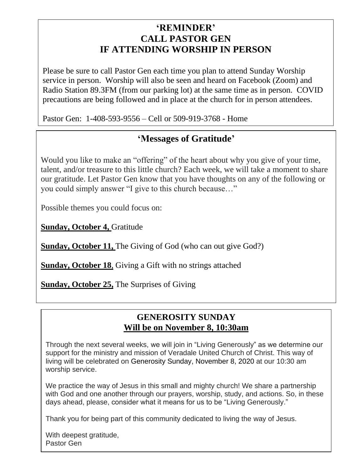### **'REMINDER' CALL PASTOR GEN IF ATTENDING WORSHIP IN PERSON**

Please be sure to call Pastor Gen each time you plan to attend Sunday Worship service in person. Worship will also be seen and heard on Facebook (Zoom) and Radio Station 89.3FM (from our parking lot) at the same time as in person. COVID precautions are being followed and in place at the church for in person attendees.

Pastor Gen: 1-408-593-9556 – Cell or 509-919-3768 - Home

### **'Messages of Gratitude'**

Would you like to make an "offering" of the heart about why you give of your time, talent, and/or treasure to this little church? Each week, we will take a moment to share our gratitude. Let Pastor Gen know that you have thoughts on any of the following or you could simply answer "I give to this church because…"

Possible themes you could focus on:

**Sunday, October 4,** Gratitude

**Sunday, October 11, The Giving of God (who can out give God?)** 

**Sunday, October 18**, Giving a Gift with no strings attached

**Sunday, October 25,** The Surprises of Giving

### **GENEROSITY SUNDAY Will be on November 8, 10:30am**

Through the next several weeks, we will join in "Living Generously" as we determine our support for the ministry and mission of Veradale United Church of Christ. This way of living will be celebrated on Generosity Sunday, November 8, 2020 at our 10:30 am worship service.

We practice the way of Jesus in this small and mighty church! We share a partnership with God and one another through our prayers, worship, study, and actions. So, in these days ahead, please, consider what it means for us to be "Living Generously."

Thank you for being part of this community dedicated to living the way of Jesus.

With deepest gratitude, Pastor Gen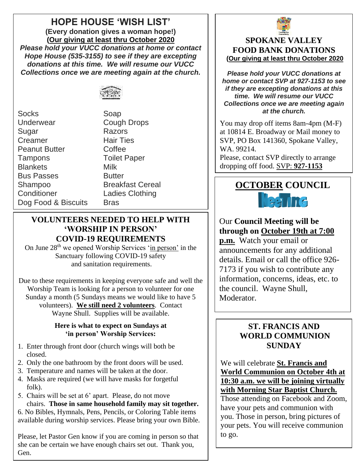# **HOPE HOUSE 'WISH LIST'**

**(Every donation gives a woman hope!) (Our giving at least thru October 2020** *Please hold your VUCC donations at home or contact Hope House (535-3155) to see if they are excepting donations at this time. We will resume our VUCC Collections once we are meeting again at the church.*



Socks Soap Underwear Cough Drops Sugar Razors Creamer Hair Ties Peanut Butter Coffee Tampons Toilet Paper Blankets Milk **Bus Passes** Butter Shampoo Breakfast Cereal Conditioner Ladies Clothing Dog Food & Biscuits Bras

#### **VOLUNTEERS NEEDED TO HELP WITH 'WORSHIP IN PERSON' COVID-19 REQUIREMENTS**

On June 28<sup>th</sup> we opened Worship Services 'in person' in the Sanctuary following COVID-19 safety and sanitation requirements.

Due to these requirements in keeping everyone safe and well the Worship Team is looking for a person to volunteer for one Sunday a month (5 Sundays means we would like to have 5 volunteers). **We still need 2 volunteers**. Contact Wayne Shull. Supplies will be available.

#### **Here is what to expect on Sundays at 'in person' Worship Services:**

- 1. Enter through front door (church wings will both be closed.
- 2. Only the one bathroom by the front doors will be used.
- 3. Temperature and names will be taken at the door.
- 4. Masks are required (we will have masks for forgetful folk).
- 5. Chairs will be set at 6' apart. Please, do not move chairs. **Those in same household family may sit together.**

6. No Bibles, Hymnals, Pens, Pencils, or Coloring Table items available during worship services. Please bring your own Bible.

Please, let Pastor Gen know if you are coming in person so that she can be certain we have enough chairs set out. Thank you, Gen.



### **SPOKANE VALLEY FOOD BANK DONATIONS (Our giving at least thru October 2020**

*Please hold your VUCC donations at home or contact SVP at 927-1153 to see if they are excepting donations at this time. We will resume our VUCC Collections once we are meeting again at the church.*

You may drop off items 8am-4pm (M-F) at 10814 E. Broadway or Mail money to SVP, PO Box 141360, Spokane Valley, WA. 99214.

Please, contact SVP directly to arrange dropping off food. SVP: **927-1153**

# *The commodity for the month of June is Chili/Pork & Beans* **OCTOBER COUNCIL**

### Our **Council Meeting will be through on October 19th at 7:00**

**p.m.** Watch your email or announcements for any additional details. Email or call the office 926- 7173 if you wish to contribute any information, concerns, ideas, etc. to the council. Wayne Shull, Moderator.

### **ST. FRANCIS AND WORLD COMMUNION SUNDAY**

We will celebrate **St. Francis and World Communion on October 4th at 10:30 a.m. we will be joining virtually with Morning Star Baptist Church.** Those attending on Facebook and Zoom, have your pets and communion with you. Those in person, bring pictures of your pets. You will receive communion to go.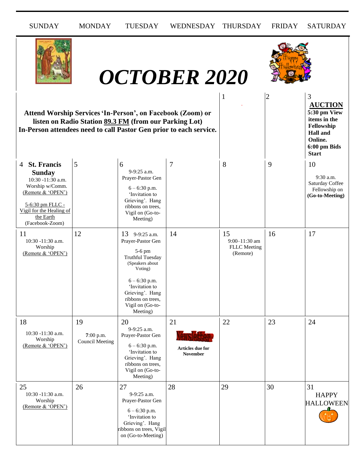| <b>SUNDAY</b>                                                                                                                                                               | <b>MONDAY</b>                             | <b>TUESDAY</b>                                                                                                                                                                                                      | WEDNESDAY                          | <b>THURSDAY</b>                                        | <b>FRIDAY</b>  | <b>SATURDAY</b>                                                                                                                 |
|-----------------------------------------------------------------------------------------------------------------------------------------------------------------------------|-------------------------------------------|---------------------------------------------------------------------------------------------------------------------------------------------------------------------------------------------------------------------|------------------------------------|--------------------------------------------------------|----------------|---------------------------------------------------------------------------------------------------------------------------------|
|                                                                                                                                                                             |                                           |                                                                                                                                                                                                                     | <b>OCTOBER 2020</b>                |                                                        |                |                                                                                                                                 |
| In-Person attendees need to call Pastor Gen prior to each service.                                                                                                          |                                           | Attend Worship Services 'In-Person', on Facebook (Zoom) or<br>listen on Radio Station 89.3 FM (from our Parking Lot)                                                                                                |                                    | 1                                                      | $\overline{c}$ | 3<br><b>AUCTION</b><br>5:30 pm View<br>items in the<br>Fellowship<br><b>Hall</b> and<br>Online.<br>6:00 pm Bids<br><b>Start</b> |
| 4 St. Francis<br><b>Sunday</b><br>10:30 -11:30 a.m.<br>Worship w/Comm.<br>(Remote & 'OPEN')<br>5-6:30 pm FLLC -<br>Vigil for the Healing of<br>the Earth<br>(Facebook-Zoom) | 5                                         | 6<br>9-9:25 a.m.<br>Prayer-Pastor Gen<br>$6 - 6:30$ p.m.<br>'Invitation to<br>Grieving'. Hang<br>ribbons on trees.<br>Vigil on (Go-to-<br>Meeting)                                                                  | 7                                  | 8                                                      | 9              | 10<br>9:30 a.m.<br>Saturday Coffee<br>Fellowship on<br>(Go-to-Meeting)                                                          |
| 11<br>10:30 -11:30 a.m.<br>Worship<br>(Remote & 'OPEN')                                                                                                                     | 12                                        | 13 9-9:25 a.m.<br>Prayer-Pastor Gen<br>5-6 pm<br><b>Truthful Tuesday</b><br>(Speakers about<br>Voting)<br>$6 - 6:30$ p.m.<br>'Invitation to<br>Grieving'. Hang<br>ribbons on trees,<br>Vigil on (Go-to-<br>Meeting) | 14                                 | 15<br>9:00-11:30 am<br><b>FLLC</b> Meeting<br>(Remote) | 16             | 17                                                                                                                              |
| 18<br>10:30 -11:30 a.m.<br>Worship<br>(Remote & 'OPEN')                                                                                                                     | 19<br>7:00 p.m.<br><b>Council Meeting</b> | 20<br>9-9:25 a.m.<br>Prayer-Pastor Gen<br>$6 - 6:30$ p.m.<br>'Invitation to<br>Grieving'. Hang<br>ribbons on trees,<br>Vigil on (Go-to-<br>Meeting)                                                                 | 21<br>Articles due for<br>November | 22                                                     | 23             | 24                                                                                                                              |
| 25<br>10:30 -11:30 a.m.<br>Worship<br>(Remote & 'OPEN')                                                                                                                     | 26                                        | 27<br>9-9:25 a.m.<br>Prayer-Pastor Gen<br>$6 - 6:30$ p.m.<br>'Invitation to<br>Grieving'. Hang<br>ribbons on trees, Vigil<br>on (Go-to-Meeting)                                                                     | 28                                 | 29                                                     | 30             | 31<br><b>HAPPY</b><br><b>HALLOWEEN</b>                                                                                          |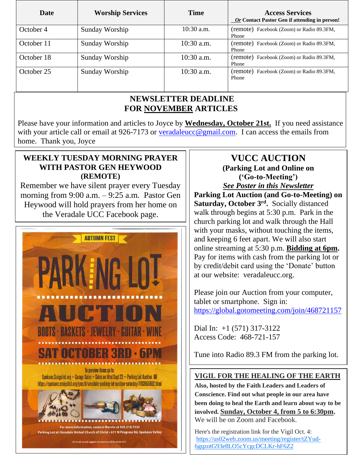| Date       | <b>Worship Services</b> | <b>Time</b>  | <b>Access Services</b><br><b>Or Contact Pastor Gen if attending in person!</b> |
|------------|-------------------------|--------------|--------------------------------------------------------------------------------|
| October 4  | Sunday Worship          | $10:30$ a.m. | (remote) Facebook (Zoom) or Radio 89.3FM,<br>Phone                             |
| October 11 | Sunday Worship          | $10:30$ a.m. | (remote) Facebook (Zoom) or Radio 89.3FM,<br>Phone                             |
| October 18 | Sunday Worship          | $10:30$ a.m. | (remote) Facebook (Zoom) or Radio 89.3FM,<br>Phone                             |
| October 25 | Sunday Worship          | $10:30$ a.m. | (remote) Facebook (Zoom) or Radio 89.3FM,<br>Phone                             |

#### **NEWSLETTER DEADLINE FOR NOVEMBER ARTICLES**

Please have your information and articles to Joyce by **Wednesday, October 21st.** If you need assistance with your article call or email at 926-7173 or [veradaleucc@gmail.com.](mailto:veradaleucc@gmail.com) I can access the emails from home. Thank you, Joyce

### **WEEKLY TUESDAY MORNING PRAYER WITH PASTOR GEN HEYWOOD (REMOTE)**

 morning from 9:00 a.m. – 9:25 a.m*.* Pastor Gen Remember we have silent prayer every Tuesday Heywood will hold prayers from her home on the Veradale UCC Facebook page.



### **VUCC AUCTION (Parking Lot and Online on ('Go-to-Meeting')**

with your masks, without touching the items, *See Poster in this Newsletter* **Parking Lot Auction (and Go-to-Meeting) on Saturday, October 3rd .** Socially distanced walk through begins at 5:30 p.m. Park in the church parking lot and walk through the Hall and keeping 6 feet apart. We will also start online streaming at 5:30 p.m. **Bidding at 6pm.** Pay for items with cash from the parking lot or by credit/debit card using the 'Donate' button at our website: veradaleucc.org.

Please join our Auction from your computer, tablet or smartphone. Sign in: <https://global.gotomeeting.com/join/468721157>

Dial In: +1 (571) 317-3122 Access Code: 468-721-157

Tune into Radio 89.3 FM from the parking lot.

### **VIGIL FOR THE HEALING OF THE EARTH**

**Also, hosted by the Faith Leaders and Leaders of Conscience. Find out what people in our area have been doing to heal the Earth and learn about way to be involved. Sunday, October 4, from 5 to 6:30pm.** We will be on Zoom and Facebook.

Here's the registration link for the Vigil Oct. 4: [https://us02web.zoom.us/meeting/register/tZYud-](https://us02web.zoom.us/meeting/register/tZYud-6gqzotG93e8LO5cYcgcDCLKr-hF6Z2)[6gqzotG93e8LO5cYcgcDCLKr-hF6Z2](https://us02web.zoom.us/meeting/register/tZYud-6gqzotG93e8LO5cYcgcDCLKr-hF6Z2)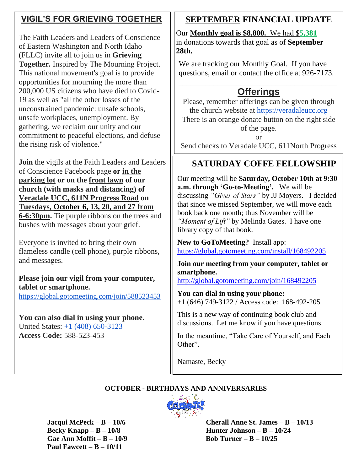# **VIGIL'S FOR GRIEVING TOGETHER**

The Faith Leaders and Leaders of Conscience of Eastern Washington and North Idaho (FLLC) invite all to join us in **Grieving Together.** Inspired by The Mourning Project. This national movement's goal is to provide opportunities for mourning the more than 200,000 US citizens who have died to Covid-19 as well as "all the other losses of the unconstrained pandemic: unsafe schools, unsafe workplaces, unemployment. By gathering, we reclaim our unity and our commitment to peaceful elections, and defuse the rising risk of violence."

**Join** the vigils at the Faith Leaders and Leaders of Conscience Facebook page **or in the parking lot or on the front lawn of our church (with masks and distancing) of Veradale UCC, 611N Progress Road on Tuesdays, October 6, 13, 20, and 27 from 6-6:30pm.** Tie purple ribbons on the trees and bushes with messages about your grief.

Everyone is invited to bring their own flameless candle (cell phone), purple ribbons, and messages.

**Please join our vigil from your computer, tablet or smartphone.** <https://global.gotomeeting.com/join/588523453>

**You can also dial in using your phone.** United States: [+1 \(408\) 650-3123](tel:+14086503123,,588523453) **Access Code:** 588-523-453

# **SEPTEMBER FINANCIAL UPDATE**

Our **Monthly goal is \$8,800.** We had \$**5,381** in donations towards that goal as of **September 28th.** 

We are tracking our Monthly Goal. If you have questions, email or contact the office at 926-7173.

### \_\_\_\_\_\_\_\_\_\_\_\_\_\_\_\_\_\_\_\_\_\_\_\_\_\_\_\_\_\_\_\_\_\_\_\_\_\_\_\_\_ **Offerings**

Please, remember offerings can be given through the church website at [https://veradaleucc.org](https://veradaleucc.org/) There is an orange donate button on the right side of the page.

or

Send checks to Veradale UCC, 611North Progress

#### Road, Spokane Valley, WA 99037 *If you are attending in person on Sundays,*   **SATURDAY COFFE FELLOWSHIP**

Our meeting will be **Saturday, October 10th at 9:30** a.m. through 'Go-to-Meeting'. We will be discussing *"Giver of Stars"* by JJ Moyers. I decided that since we missed September, we will move each book back one month; thus November will be *"Moment of Lift"* by Melinda Gates. I have one library copy of that book.

 **New to GoToMeeting?** Install app: <https://global.gotomeeting.com/install/168492205>

**Join our meeting from your computer, tablet or smartphone.**

<http://global.gotomeeting.com/join/168492205>

**You can dial in using your phone:**  +1 (646) 749-3122 / Access code: 168-492-205

This is a new way of continuing book club and discussions. Let me know if you have questions.

In the meantime, "Take Care of Yourself, and Each Other".

Namaste, Becky

#### **OCTOBER - BIRTHDAYS AND ANNIVERSARIES**



 **Gae Ann Moffit – B – 10/9 Bob Turner – B – 10/25 Paul Fawcett – B – 10/11** 

 **Jacqui McPeck – B – 10/6 Cherall Anne St. James – B – 10/13 Becky Knapp – B – 10/8 Hunter Johnson – B – 10/24**